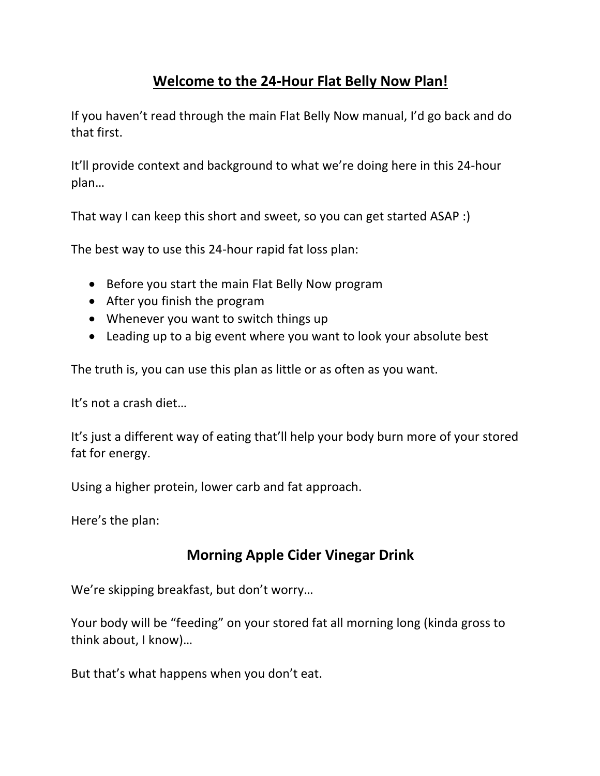### **Welcome to the 24-Hour Flat Belly Now Plan!**

If you haven't read through the main Flat Belly Now manual, I'd go back and do that first.

It'll provide context and background to what we're doing here in this 24-hour plan…

That way I can keep this short and sweet, so you can get started ASAP :)

The best way to use this 24-hour rapid fat loss plan:

- Before you start the main Flat Belly Now program
- After you finish the program
- Whenever you want to switch things up
- Leading up to a big event where you want to look your absolute best

The truth is, you can use this plan as little or as often as you want.

It's not a crash diet…

It's just a different way of eating that'll help your body burn more of your stored fat for energy.

Using a higher protein, lower carb and fat approach.

Here's the plan:

### **Morning Apple Cider Vinegar Drink**

We're skipping breakfast, but don't worry…

Your body will be "feeding" on your stored fat all morning long (kinda gross to think about, I know)…

But that's what happens when you don't eat.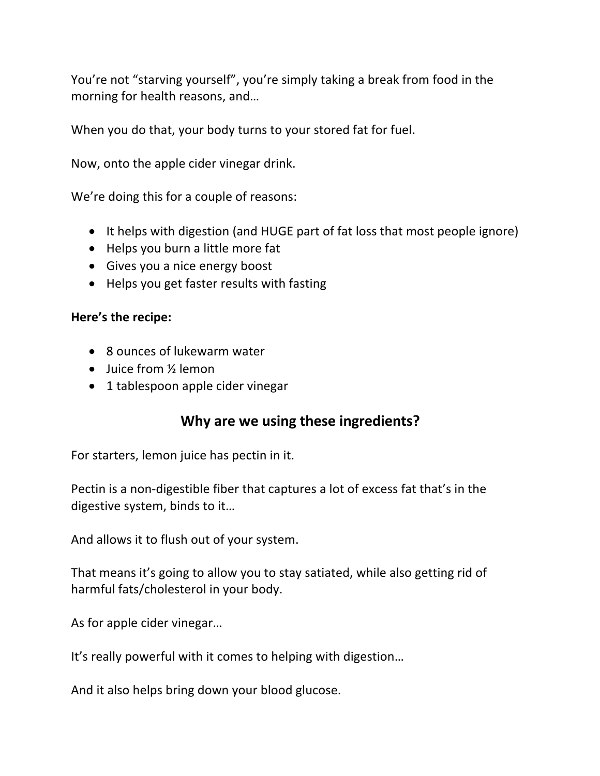You're not "starving yourself", you're simply taking a break from food in the morning for health reasons, and…

When you do that, your body turns to your stored fat for fuel.

Now, onto the apple cider vinegar drink.

We're doing this for a couple of reasons:

- It helps with digestion (and HUGE part of fat loss that most people ignore)
- Helps you burn a little more fat
- Gives you a nice energy boost
- Helps you get faster results with fasting

#### **Here's the recipe:**

- 8 ounces of lukewarm water
- Juice from  $\frac{1}{2}$  lemon
- 1 tablespoon apple cider vinegar

### **Why are we using these ingredients?**

For starters, lemon juice has pectin in it.

Pectin is a non-digestible fiber that captures a lot of excess fat that's in the digestive system, binds to it…

And allows it to flush out of your system.

That means it's going to allow you to stay satiated, while also getting rid of harmful fats/cholesterol in your body.

As for apple cider vinegar…

It's really powerful with it comes to helping with digestion…

And it also helps bring down your blood glucose.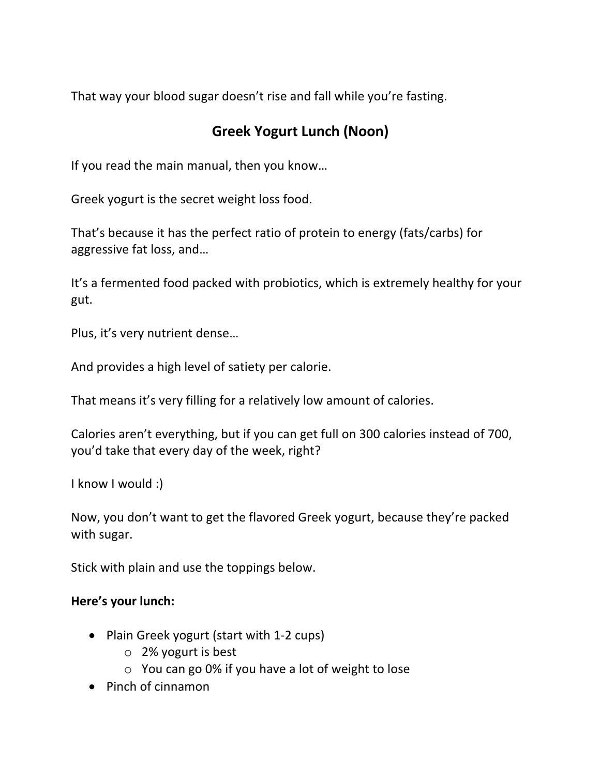That way your blood sugar doesn't rise and fall while you're fasting.

# **Greek Yogurt Lunch (Noon)**

If you read the main manual, then you know…

Greek yogurt is the secret weight loss food.

That's because it has the perfect ratio of protein to energy (fats/carbs) for aggressive fat loss, and…

It's a fermented food packed with probiotics, which is extremely healthy for your gut.

Plus, it's very nutrient dense…

And provides a high level of satiety per calorie.

That means it's very filling for a relatively low amount of calories.

Calories aren't everything, but if you can get full on 300 calories instead of 700, you'd take that every day of the week, right?

I know I would :)

Now, you don't want to get the flavored Greek yogurt, because they're packed with sugar.

Stick with plain and use the toppings below.

#### **Here's your lunch:**

- Plain Greek yogurt (start with 1-2 cups)
	- o 2% yogurt is best
	- o You can go 0% if you have a lot of weight to lose
- Pinch of cinnamon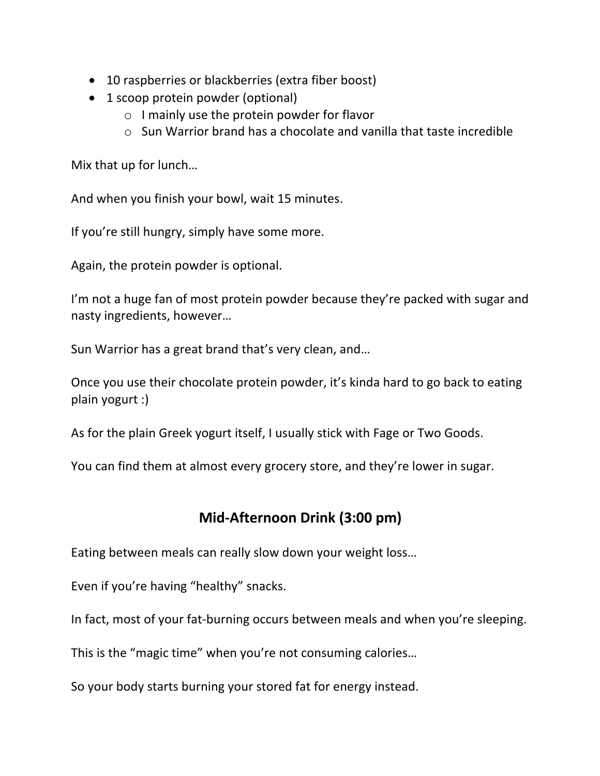- 10 raspberries or blackberries (extra fiber boost)
- 1 scoop protein powder (optional)
	- o I mainly use the protein powder for flavor
	- o Sun Warrior brand has a chocolate and vanilla that taste incredible

Mix that up for lunch…

And when you finish your bowl, wait 15 minutes.

If you're still hungry, simply have some more.

Again, the protein powder is optional.

I'm not a huge fan of most protein powder because they're packed with sugar and nasty ingredients, however…

Sun Warrior has a great brand that's very clean, and…

Once you use their chocolate protein powder, it's kinda hard to go back to eating plain yogurt :)

As for the plain Greek yogurt itself, I usually stick with Fage or Two Goods.

You can find them at almost every grocery store, and they're lower in sugar.

### **Mid-Afternoon Drink (3:00 pm)**

Eating between meals can really slow down your weight loss…

Even if you're having "healthy" snacks.

In fact, most of your fat-burning occurs between meals and when you're sleeping.

This is the "magic time" when you're not consuming calories…

So your body starts burning your stored fat for energy instead.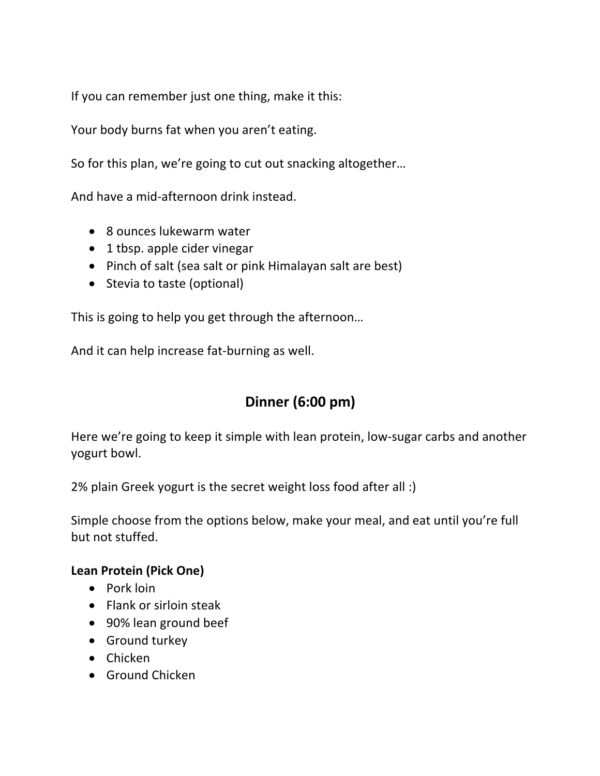If you can remember just one thing, make it this:

Your body burns fat when you aren't eating.

So for this plan, we're going to cut out snacking altogether…

And have a mid-afternoon drink instead.

- 8 ounces lukewarm water
- 1 tbsp. apple cider vinegar
- Pinch of salt (sea salt or pink Himalayan salt are best)
- Stevia to taste (optional)

This is going to help you get through the afternoon…

And it can help increase fat-burning as well.

# **Dinner (6:00 pm)**

Here we're going to keep it simple with lean protein, low-sugar carbs and another yogurt bowl.

2% plain Greek yogurt is the secret weight loss food after all :)

Simple choose from the options below, make your meal, and eat until you're full but not stuffed.

#### **Lean Protein (Pick One)**

- Pork loin
- Flank or sirloin steak
- 90% lean ground beef
- Ground turkey
- Chicken
- Ground Chicken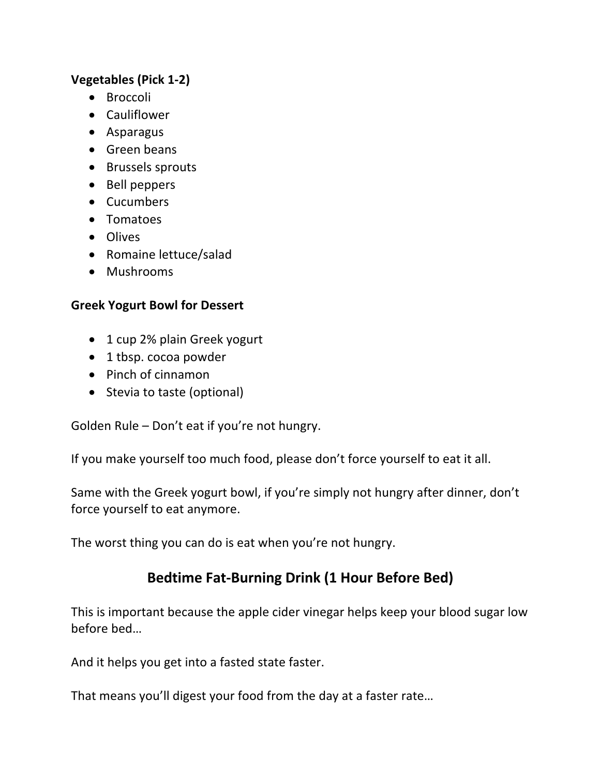#### **Vegetables (Pick 1-2)**

- Broccoli
- Cauliflower
- Asparagus
- Green beans
- Brussels sprouts
- Bell peppers
- Cucumbers
- Tomatoes
- Olives
- Romaine lettuce/salad
- Mushrooms

### **Greek Yogurt Bowl for Dessert**

- 1 cup 2% plain Greek yogurt
- 1 tbsp. cocoa powder
- Pinch of cinnamon
- Stevia to taste (optional)

Golden Rule – Don't eat if you're not hungry.

If you make yourself too much food, please don't force yourself to eat it all.

Same with the Greek yogurt bowl, if you're simply not hungry after dinner, don't force yourself to eat anymore.

The worst thing you can do is eat when you're not hungry.

# **Bedtime Fat-Burning Drink (1 Hour Before Bed)**

This is important because the apple cider vinegar helps keep your blood sugar low before bed…

And it helps you get into a fasted state faster.

That means you'll digest your food from the day at a faster rate…